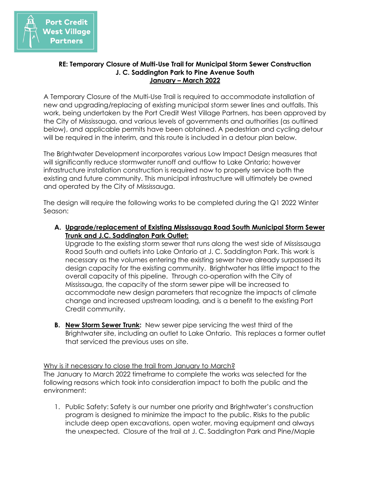

## **RE: Temporary Closure of Multi-Use Trail for Municipal Storm Sewer Construction J. C. Saddington Park to Pine Avenue South January – March 2022**

A Temporary Closure of the Multi-Use Trail is required to accommodate installation of new and upgrading/replacing of existing municipal storm sewer lines and outfalls. This work, being undertaken by the Port Credit West Village Partners, has been approved by the City of Mississauga, and various levels of governments and authorities (as outlined below), and applicable permits have been obtained. A pedestrian and cycling detour will be required in the interim, and this route is included in a detour plan below.

The Brightwater Development incorporates various Low Impact Design measures that will significantly reduce stormwater runoff and outflow to Lake Ontario; however infrastructure installation construction is required now to properly service both the existing and future community. This municipal infrastructure will ultimately be owned and operated by the City of Mississauga.

The design will require the following works to be completed during the Q1 2022 Winter Season:

**A. Upgrade/replacement of Existing Mississauga Road South Municipal Storm Sewer Trunk and J.C. Saddington Park Outlet:**

Upgrade to the existing storm sewer that runs along the west side of Mississauga Road South and outlets into Lake Ontario at J. C. Saddington Park. This work is necessary as the volumes entering the existing sewer have already surpassed its design capacity for the existing community. Brightwater has little impact to the overall capacity of this pipeline. Through co-operation with the City of Mississauga, the capacity of the storm sewer pipe will be increased to accommodate new design parameters that recognize the impacts of climate change and increased upstream loading, and is a benefit to the existing Port Credit community.

**B. New Storm Sewer Trunk:** New sewer pipe servicing the west third of the Brightwater site, including an outlet to Lake Ontario. This replaces a former outlet that serviced the previous uses on site.

Why is it necessary to close the trail from January to March? The January to March 2022 timeframe to complete the works was selected for the following reasons which took into consideration impact to both the public and the environment:

1. Public Safety: Safety is our number one priority and Brightwater's construction program is designed to minimize the impact to the public. Risks to the public include deep open excavations, open water, moving equipment and always the unexpected. Closure of the trail at J. C. Saddington Park and Pine/Maple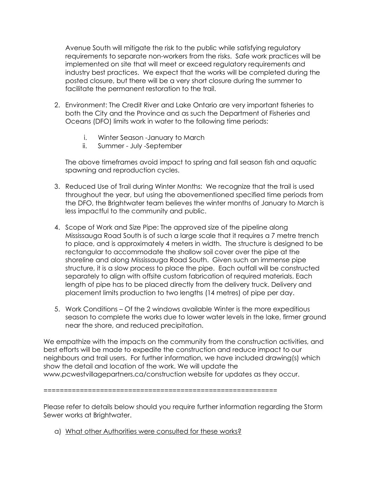Avenue South will mitigate the risk to the public while satisfying regulatory requirements to separate non-workers from the risks. Safe work practices will be implemented on site that will meet or exceed regulatory requirements and industry best practices. We expect that the works will be completed during the posted closure, but there will be a very short closure during the summer to facilitate the permanent restoration to the trail.

- 2. Environment: The Credit River and Lake Ontario are very important fisheries to both the City and the Province and as such the Department of Fisheries and Oceans (DFO) limits work in water to the following time periods:
	- i. Winter Season -January to March
	- ii. Summer July -September

The above timeframes avoid impact to spring and fall season fish and aquatic spawning and reproduction cycles.

- 3. Reduced Use of Trail during Winter Months: We recognize that the trail is used throughout the year, but using the abovementioned specified time periods from the DFO, the Brightwater team believes the winter months of January to March is less impactful to the community and public.
- 4. Scope of Work and Size Pipe: The approved size of the pipeline along Mississauga Road South is of such a large scale that it requires a 7 metre trench to place, and is approximately 4 meters in width. The structure is designed to be rectangular to accommodate the shallow soil cover over the pipe at the shoreline and along Mississauga Road South. Given such an immense pipe structure, it is a slow process to place the pipe. Each outfall will be constructed separately to align with offsite custom fabrication of required materials. Each length of pipe has to be placed directly from the delivery truck. Delivery and placement limits production to two lengths (14 metres) of pipe per day.
- 5. Work Conditions Of the 2 windows available Winter is the more expeditious season to complete the works due to lower water levels in the lake, firmer ground near the shore, and reduced precipitation.

We empathize with the impacts on the community from the construction activities, and best efforts will be made to expedite the construction and reduce impact to our neighbours and trail users. For further information, we have included drawing(s) which show the detail and location of the work. We will update the www.pcwestvillagepartners.ca/construction website for updates as they occur.

==========================================================

Please refer to details below should you require further information regarding the Storm Sewer works at Brightwater.

a) What other Authorities were consulted for these works?